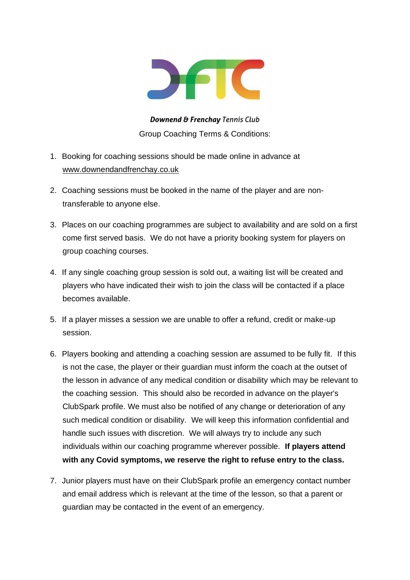

**Downend & Frenchay Tennis Club** Group Coaching Terms & Conditions:

- 1. Booking for coaching sessions should be made online in advance at [www.downendandfrenchay.co.uk](http://www.downendandfrenchay.co.uk/)
- 2. Coaching sessions must be booked in the name of the player and are nontransferable to anyone else.
- 3. Places on our coaching programmes are subject to availability and are sold on a first come first served basis. We do not have a priority booking system for players on group coaching courses.
- 4. If any single coaching group session is sold out, a waiting list will be created and players who have indicated their wish to join the class will be contacted if a place becomes available.
- 5. If a player misses a session we are unable to offer a refund, credit or make-up session.
- 6. Players booking and attending a coaching session are assumed to be fully fit. If this is not the case, the player or their guardian must inform the coach at the outset of the lesson in advance of any medical condition or disability which may be relevant to the coaching session. This should also be recorded in advance on the player's ClubSpark profile. We must also be notified of any change or deterioration of any such medical condition or disability. We will keep this information confidential and handle such issues with discretion. We will always try to include any such individuals within our coaching programme wherever possible. **If players attend with any Covid symptoms, we reserve the right to refuse entry to the class.**
- 7. Junior players must have on their ClubSpark profile an emergency contact number and email address which is relevant at the time of the lesson, so that a parent or guardian may be contacted in the event of an emergency.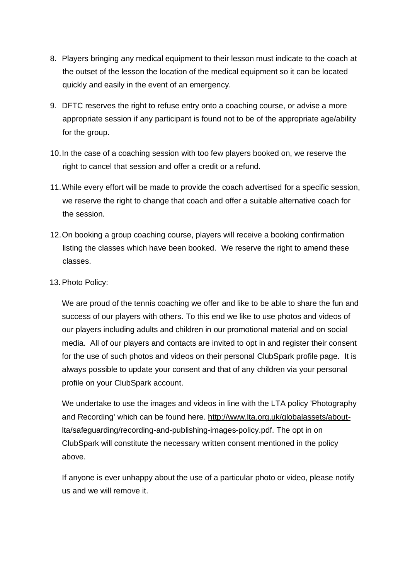- 8. Players bringing any medical equipment to their lesson must indicate to the coach at the outset of the lesson the location of the medical equipment so it can be located quickly and easily in the event of an emergency.
- 9. DFTC reserves the right to refuse entry onto a coaching course, or advise a more appropriate session if any participant is found not to be of the appropriate age/ability for the group.
- 10.In the case of a coaching session with too few players booked on, we reserve the right to cancel that session and offer a credit or a refund.
- 11.While every effort will be made to provide the coach advertised for a specific session, we reserve the right to change that coach and offer a suitable alternative coach for the session.
- 12.On booking a group coaching course, players will receive a booking confirmation listing the classes which have been booked. We reserve the right to amend these classes.
- 13.Photo Policy:

We are proud of the tennis coaching we offer and like to be able to share the fun and success of our players with others. To this end we like to use photos and videos of our players including adults and children in our promotional material and on social media. All of our players and contacts are invited to opt in and register their consent for the use of such photos and videos on their personal ClubSpark profile page. It is always possible to update your consent and that of any children via your personal profile on your ClubSpark account.

We undertake to use the images and videos in line with the LTA policy 'Photography and Recording' which can be found here. [http://www.lta.org.uk/globalassets/about](http://www.lta.org.uk/globalassets/about-lta/safeguarding/recording-and-publishing-images-policy.pdf)[lta/safeguarding/recording-and-publishing-images-policy.pdf.](http://www.lta.org.uk/globalassets/about-lta/safeguarding/recording-and-publishing-images-policy.pdf) The opt in on ClubSpark will constitute the necessary written consent mentioned in the policy above.

If anyone is ever unhappy about the use of a particular photo or video, please notify us and we will remove it.